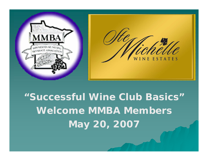

# **"Successful Wine Club Basics" Welcome MMBA Members May 20, 2007**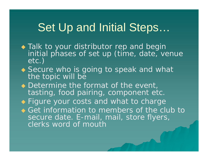## Set Up and Initial Steps…

- Talk to your distributor rep and begin initial phases of set up (time, date, venue etc.)
- ◆ Secure who is going to speak and what the topic will be
- Determine the format of the event, tasting, food pairing, component etc.
- ◆ Figure your costs and what to charge
- ◆ Get information to members of the club to secure date. E-mail, mail, store flyers, clerks word of mouth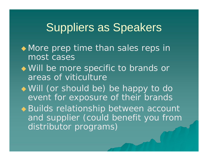## Suppliers as Speakers

- **More prep time than sales reps in** most cases
- Will be more specific to brands or areas of viticulture
- Will (or should be) be happy to do event for exposure of their brands
- Builds relationship between account and supplier (could benefit you from distributor programs)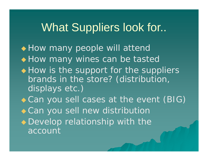## What Suppliers look for..

◆ How many people will attend ◆ How many wines can be tasted ◆ How is the support for the suppliers brands in the store? (distribution, displays etc.) ◆ Can you sell cases at the event (BIG) Can you sell new distribution Develop relationship with the account